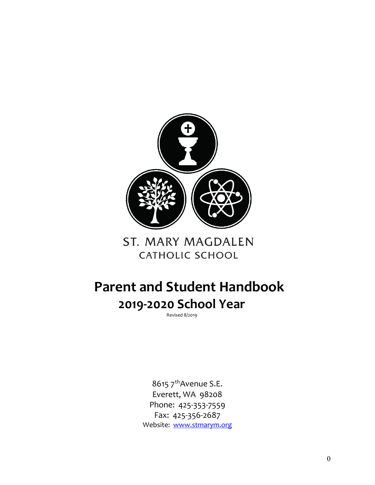

# **ST. MARY MAGDALEN CATHOLIC SCHOOL**

# **Parent and Student Handbook 2019-2020 School Year**

Revised 8/2019

8615 7<sup>th</sup>Avenue S.E. Everett, WA 98208 Phone: 425-353-7559 Fax: 425-356-2687 Website: [www.stmarym.org](http://www.stmarym.org/)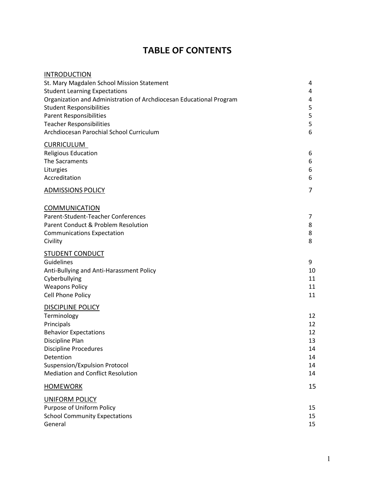# **TABLE OF CONTENTS**

| <b>INTRODUCTION</b>                                                         |        |
|-----------------------------------------------------------------------------|--------|
| St. Mary Magdalen School Mission Statement                                  | 4      |
| <b>Student Learning Expectations</b>                                        | 4      |
| Organization and Administration of Archdiocesan Educational Program         | 4      |
| <b>Student Responsibilities</b>                                             | 5      |
| <b>Parent Responsibilities</b>                                              | 5      |
| <b>Teacher Responsibilities</b><br>Archdiocesan Parochial School Curriculum | 5<br>6 |
|                                                                             |        |
| <b>CURRICULUM</b>                                                           |        |
| <b>Religious Education</b>                                                  | 6      |
| The Sacraments                                                              | 6      |
| Liturgies                                                                   | 6      |
| Accreditation                                                               | 6      |
| <b>ADMISSIONS POLICY</b>                                                    | 7      |
| <b>COMMUNICATION</b>                                                        |        |
| Parent-Student-Teacher Conferences                                          | 7      |
| Parent Conduct & Problem Resolution                                         | 8      |
| <b>Communications Expectation</b>                                           | 8      |
| Civility                                                                    | 8      |
| <b>STUDENT CONDUCT</b>                                                      |        |
| Guidelines                                                                  | 9      |
| Anti-Bullying and Anti-Harassment Policy                                    | 10     |
| Cyberbullying                                                               | 11     |
| <b>Weapons Policy</b>                                                       | 11     |
| Cell Phone Policy                                                           | 11     |
| <b>DISCIPLINE POLICY</b>                                                    |        |
| Terminology                                                                 | 12     |
| Principals                                                                  | 12     |
| <b>Behavior Expectations</b>                                                | 12     |
| Discipline Plan                                                             | 13     |
| <b>Discipline Procedures</b>                                                | 14     |
| Detention                                                                   | 14     |
| Suspension/Expulsion Protocol                                               | 14     |
| <b>Mediation and Conflict Resolution</b>                                    | 14     |
| <b>HOMEWORK</b>                                                             | 15     |
| <b>UNIFORM POLICY</b>                                                       |        |
| Purpose of Uniform Policy                                                   | 15     |
| <b>School Community Expectations</b>                                        | 15     |
| General                                                                     | 15     |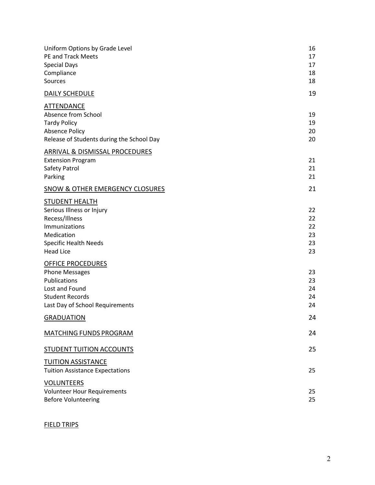| Uniform Options by Grade Level<br><b>PE and Track Meets</b><br><b>Special Days</b><br>Compliance<br>Sources                                             | 16<br>17<br>17<br>18<br>18       |
|---------------------------------------------------------------------------------------------------------------------------------------------------------|----------------------------------|
| <b>DAILY SCHEDULE</b>                                                                                                                                   | 19                               |
| <b>ATTENDANCE</b><br>Absence from School<br><b>Tardy Policy</b><br><b>Absence Policy</b><br>Release of Students during the School Day                   | 19<br>19<br>20<br>20             |
| ARRIVAL & DISMISSAL PROCEDURES<br><b>Extension Program</b><br>Safety Patrol<br>Parking                                                                  | 21<br>21<br>21                   |
| <b>SNOW &amp; OTHER EMERGENCY CLOSURES</b>                                                                                                              | 21                               |
| <b>STUDENT HEALTH</b><br>Serious Illness or Injury<br>Recess/Illness<br>Immunizations<br>Medication<br><b>Specific Health Needs</b><br><b>Head Lice</b> | 22<br>22<br>22<br>23<br>23<br>23 |
| <b>OFFICE PROCEDURES</b><br><b>Phone Messages</b><br>Publications<br>Lost and Found<br><b>Student Records</b><br>Last Day of School Requirements        | 23<br>23<br>24<br>24<br>24       |
| <b>GRADUATION</b>                                                                                                                                       | 24                               |
| <b>MATCHING FUNDS PROGRAM</b>                                                                                                                           | 24                               |
| <b>STUDENT TUITION ACCOUNTS</b>                                                                                                                         | 25                               |
| <b>TUITION ASSISTANCE</b><br><b>Tuition Assistance Expectations</b>                                                                                     | 25                               |
| <b>VOLUNTEERS</b><br><b>Volunteer Hour Requirements</b><br><b>Before Volunteering</b>                                                                   | 25<br>25                         |

#### FIELD TRIPS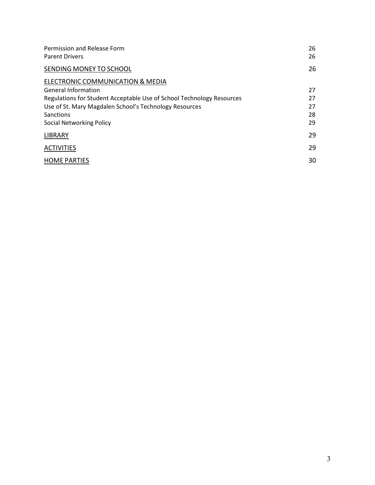| Permission and Release Form<br><b>Parent Drivers</b>                  | 26<br>26 |
|-----------------------------------------------------------------------|----------|
| SENDING MONEY TO SCHOOL                                               | 26       |
| ELECTRONIC COMMUNICATION & MEDIA                                      |          |
| <b>General Information</b>                                            | 27       |
| Regulations for Student Acceptable Use of School Technology Resources | 27       |
| Use of St. Mary Magdalen School's Technology Resources                | 27       |
| Sanctions                                                             | 28       |
| Social Networking Policy                                              | 29       |
| <b>LIBRARY</b>                                                        | 29       |
| <b>ACTIVITIES</b>                                                     | 29       |
| <b>HOME PARTIES</b>                                                   | 30       |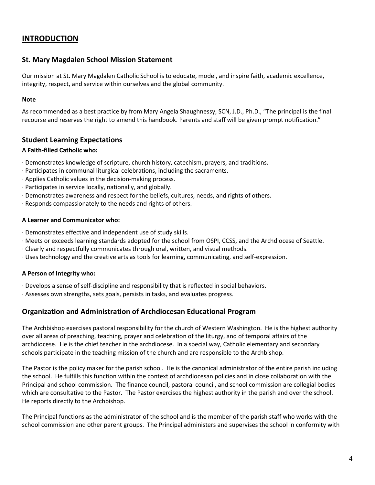## **INTRODUCTION**

#### **St. Mary Magdalen School Mission Statement**

Our mission at St. Mary Magdalen Catholic School is to educate, model, and inspire faith, academic excellence, integrity, respect, and service within ourselves and the global community.

#### **Note**

As recommended as a best practice by from Mary Angela Shaughnessy, SCN, J.D., Ph.D., "The principal is the final recourse and reserves the right to amend this handbook. Parents and staff will be given prompt notification."

#### **Student Learning Expectations**

#### **A Faith-filled Catholic who:**

- · Demonstrates knowledge of scripture, church history, catechism, prayers, and traditions.
- · Participates in communal liturgical celebrations, including the sacraments.
- · Applies Catholic values in the decision-making process.
- · Participates in service locally, nationally, and globally.
- · Demonstrates awareness and respect for the beliefs, cultures, needs, and rights of others.
- · Responds compassionately to the needs and rights of others.

#### **A Learner and Communicator who:**

- · Demonstrates effective and independent use of study skills.
- · Meets or exceeds learning standards adopted for the school from OSPI, CCSS, and the Archdiocese of Seattle.
- · Clearly and respectfully communicates through oral, written, and visual methods.
- · Uses technology and the creative arts as tools for learning, communicating, and self-expression.

#### **A Person of Integrity who:**

- · Develops a sense of self-discipline and responsibility that is reflected in social behaviors.
- · Assesses own strengths, sets goals, persists in tasks, and evaluates progress.

#### **Organization and Administration of Archdiocesan Educational Program**

The Archbishop exercises pastoral responsibility for the church of Western Washington. He is the highest authority over all areas of preaching, teaching, prayer and celebration of the liturgy, and of temporal affairs of the archdiocese. He is the chief teacher in the archdiocese. In a special way, Catholic elementary and secondary schools participate in the teaching mission of the church and are responsible to the Archbishop.

The Pastor is the policy maker for the parish school. He is the canonical administrator of the entire parish including the school. He fulfills this function within the context of archdiocesan policies and in close collaboration with the Principal and school commission. The finance council, pastoral council, and school commission are collegial bodies which are consultative to the Pastor. The Pastor exercises the highest authority in the parish and over the school. He reports directly to the Archbishop.

The Principal functions as the administrator of the school and is the member of the parish staff who works with the school commission and other parent groups. The Principal administers and supervises the school in conformity with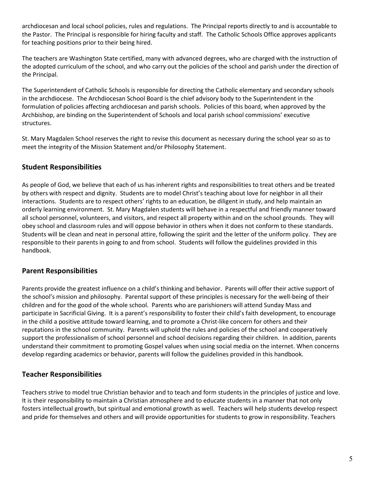archdiocesan and local school policies, rules and regulations. The Principal reports directly to and is accountable to the Pastor. The Principal is responsible for hiring faculty and staff. The Catholic Schools Office approves applicants for teaching positions prior to their being hired.

The teachers are Washington State certified, many with advanced degrees, who are charged with the instruction of the adopted curriculum of the school, and who carry out the policies of the school and parish under the direction of the Principal.

The Superintendent of Catholic Schools is responsible for directing the Catholic elementary and secondary schools in the archdiocese. The Archdiocesan School Board is the chief advisory body to the Superintendent in the formulation of policies affecting archdiocesan and parish schools. Policies of this board, when approved by the Archbishop, are binding on the Superintendent of Schools and local parish school commissions' executive structures.

St. Mary Magdalen School reserves the right to revise this document as necessary during the school year so as to meet the integrity of the Mission Statement and/or Philosophy Statement.

#### **Student Responsibilities**

As people of God, we believe that each of us has inherent rights and responsibilities to treat others and be treated by others with respect and dignity. Students are to model Christ's teaching about love for neighbor in all their interactions. Students are to respect others' rights to an education, be diligent in study, and help maintain an orderly learning environment. St. Mary Magdalen students will behave in a respectful and friendly manner toward all school personnel, volunteers, and visitors, and respect all property within and on the school grounds. They will obey school and classroom rules and will oppose behavior in others when it does not conform to these standards. Students will be clean and neat in personal attire, following the spirit and the letter of the uniform policy. They are responsible to their parents in going to and from school. Students will follow the guidelines provided in this handbook.

#### **Parent Responsibilities**

Parents provide the greatest influence on a child's thinking and behavior. Parents will offer their active support of the school's mission and philosophy. Parental support of these principles is necessary for the well-being of their children and for the good of the whole school. Parents who are parishioners will attend Sunday Mass and participate in Sacrificial Giving. It is a parent's responsibility to foster their child's faith development, to encourage in the child a positive attitude toward learning, and to promote a Christ-like concern for others and their reputations in the school community. Parents will uphold the rules and policies of the school and cooperatively support the professionalism of school personnel and school decisions regarding their children. In addition, parents understand their commitment to promoting Gospel values when using social media on the internet. When concerns develop regarding academics or behavior, parents will follow the guidelines provided in this handbook.

#### **Teacher Responsibilities**

Teachers strive to model true Christian behavior and to teach and form students in the principles of justice and love. It is their responsibility to maintain a Christian atmosphere and to educate students in a manner that not only fosters intellectual growth, but spiritual and emotional growth as well. Teachers will help students develop respect and pride for themselves and others and will provide opportunities for students to grow in responsibility. Teachers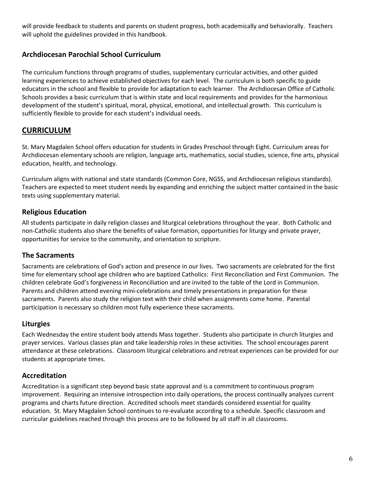will provide feedback to students and parents on student progress, both academically and behaviorally. Teachers will uphold the guidelines provided in this handbook.

## **Archdiocesan Parochial School Curriculum**

The curriculum functions through programs of studies, supplementary curricular activities, and other guided learning experiences to achieve established objectives for each level. The curriculum is both specific to guide educators in the school and flexible to provide for adaptation to each learner. The Archdiocesan Office of Catholic Schools provides a basic curriculum that is within state and local requirements and provides for the harmonious development of the student's spiritual, moral, physical, emotional, and intellectual growth. This curriculum is sufficiently flexible to provide for each student's individual needs.

# **CURRICULUM**

St. Mary Magdalen School offers education for students in Grades Preschool through Eight. Curriculum areas for Archdiocesan elementary schools are religion, language arts, mathematics, social studies, science, fine arts, physical education, health, and technology.

Curriculum aligns with national and state standards (Common Core, NGSS, and Archdiocesan religious standards). Teachers are expected to meet student needs by expanding and enriching the subject matter contained in the basic texts using supplementary material.

#### **Religious Education**

All students participate in daily religion classes and liturgical celebrations throughout the year. Both Catholic and non-Catholic students also share the benefits of value formation, opportunities for liturgy and private prayer, opportunities for service to the community, and orientation to scripture.

#### **The Sacraments**

Sacraments are celebrations of God's action and presence in our lives. Two sacraments are celebrated for the first time for elementary school age children who are baptized Catholics: First Reconciliation and First Communion. The children celebrate God's forgiveness in Reconciliation and are invited to the table of the Lord in Communion. Parents and children attend evening mini-celebrations and timely presentations in preparation for these sacraments. Parents also study the religion text with their child when assignments come home. Parental participation is necessary so children most fully experience these sacraments.

#### **Liturgies**

Each Wednesday the entire student body attends Mass together. Students also participate in church liturgies and prayer services. Various classes plan and take leadership roles in these activities. The school encourages parent attendance at these celebrations. Classroom liturgical celebrations and retreat experiences can be provided for our students at appropriate times.

#### **Accreditation**

Accreditation is a significant step beyond basic state approval and is a commitment to continuous program improvement. Requiring an intensive introspection into daily operations, the process continually analyzes current programs and charts future direction. Accredited schools meet standards considered essential for quality education. St. Mary Magdalen School continues to re-evaluate according to a schedule. Specific classroom and curricular guidelines reached through this process are to be followed by all staff in all classrooms.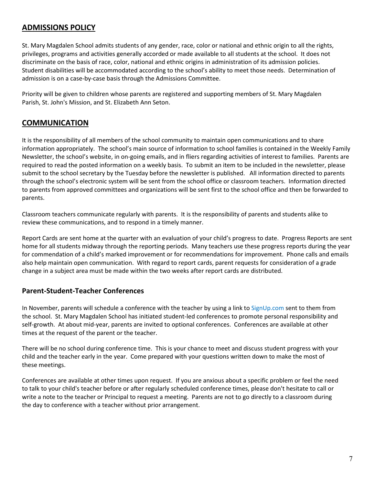# **ADMISSIONS POLICY**

St. Mary Magdalen School admits students of any gender, race, color or national and ethnic origin to all the rights, privileges, programs and activities generally accorded or made available to all students at the school. It does not discriminate on the basis of race, color, national and ethnic origins in administration of its admission policies. Student disabilities will be accommodated according to the school's ability to meet those needs. Determination of admission is on a case-by-case basis through the Admissions Committee.

Priority will be given to children whose parents are registered and supporting members of St. Mary Magdalen Parish, St. John's Mission, and St. Elizabeth Ann Seton.

## **COMMUNICATION**

It is the responsibility of all members of the school community to maintain open communications and to share information appropriately. The school's main source of information to school families is contained in the Weekly Family Newsletter, the school's website, in on-going emails, and in fliers regarding activities of interest to families. Parents are required to read the posted information on a weekly basis. To submit an item to be included in the newsletter, please submit to the school secretary by the Tuesday before the newsletter is published. All information directed to parents through the school's electronic system will be sent from the school office or classroom teachers. Information directed to parents from approved committees and organizations will be sent first to the school office and then be forwarded to parents.

Classroom teachers communicate regularly with parents. It is the responsibility of parents and students alike to review these communications, and to respond in a timely manner.

Report Cards are sent home at the quarter with an evaluation of your child's progress to date. Progress Reports are sent home for all students midway through the reporting periods. Many teachers use these progress reports during the year for commendation of a child's marked improvement or for recommendations for improvement. Phone calls and emails also help maintain open communication. With regard to report cards, parent requests for consideration of a grade change in a subject area must be made within the two weeks after report cards are distributed.

#### **Parent-Student-Teacher Conferences**

In November, parents will schedule a conference with the teacher by using a link to SignUp.com sent to them from the school. St. Mary Magdalen School has initiated student-led conferences to promote personal responsibility and self-growth. At about mid-year, parents are invited to optional conferences. Conferences are available at other times at the request of the parent or the teacher.

There will be no school during conference time. This is your chance to meet and discuss student progress with your child and the teacher early in the year. Come prepared with your questions written down to make the most of these meetings.

Conferences are available at other times upon request. If you are anxious about a specific problem or feel the need to talk to your child's teacher before or after regularly scheduled conference times, please don't hesitate to call or write a note to the teacher or Principal to request a meeting. Parents are not to go directly to a classroom during the day to conference with a teacher without prior arrangement.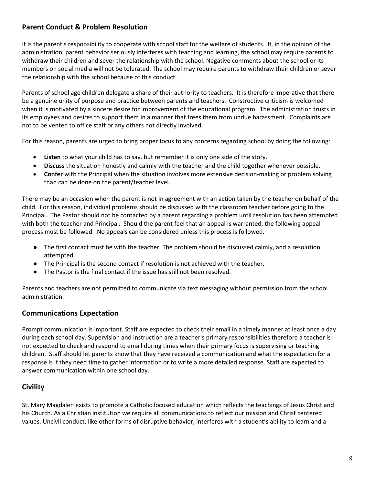# **Parent Conduct & Problem Resolution**

It is the parent's responsibility to cooperate with school staff for the welfare of students. If, in the opinion of the administration, parent behavior seriously interferes with teaching and learning, the school may require parents to withdraw their children and sever the relationship with the school. Negative comments about the school or its members on social media will not be tolerated. The school may require parents to withdraw their children or sever the relationship with the school because of this conduct.

Parents of school age children delegate a share of their authority to teachers. It is therefore imperative that there be a genuine unity of purpose and practice between parents and teachers. Constructive criticism is welcomed when it is motivated by a sincere desire for improvement of the educational program. The administration trusts in its employees and desires to support them in a manner that frees them from undue harassment. Complaints are not to be vented to office staff or any others not directly involved.

For this reason, parents are urged to bring proper focus to any concerns regarding school by doing the following:

- **Listen** to what your child has to say, but remember it is only one side of the story.
- **Discuss** the situation honestly and calmly with the teacher and the child together whenever possible.
- **Confer** with the Principal when the situation involves more extensive decision-making or problem solving than can be done on the parent/teacher level.

There may be an occasion when the parent is not in agreement with an action taken by the teacher on behalf of the child. For this reason, individual problems should be discussed with the classroom teacher before going to the Principal. The Pastor should not be contacted by a parent regarding a problem until resolution has been attempted with both the teacher and Principal. Should the parent feel that an appeal is warranted, the following appeal process must be followed. No appeals can be considered unless this process is followed.

- The first contact must be with the teacher. The problem should be discussed calmly, and a resolution attempted.
- The Principal is the second contact if resolution is not achieved with the teacher.
- The Pastor is the final contact if the issue has still not been resolved.

Parents and teachers are not permitted to communicate via text messaging without permission from the school administration.

#### **Communications Expectation**

Prompt communication is important. Staff are expected to check their email in a timely manner at least once a day during each school day. Supervision and instruction are a teacher's primary responsibilities therefore a teacher is not expected to check and respond to email during times when their primary focus is supervising or teaching children. Staff should let parents know that they have received a communication and what the expectation for a response is if they need time to gather information or to write a more detailed response. Staff are expected to answer communication within one school day.

## **Civility**

St. Mary Magdalen exists to promote a Catholic focused education which reflects the teachings of Jesus Christ and his Church. As a Christian institution we require all communications to reflect our mission and Christ centered values. Uncivil conduct, like other forms of disruptive behavior, interferes with a student's ability to learn and a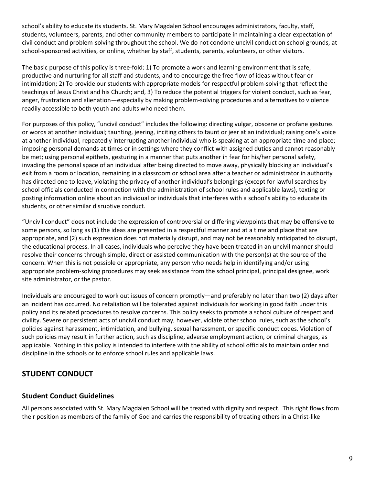school's ability to educate its students. St. Mary Magdalen School encourages administrators, faculty, staff, students, volunteers, parents, and other community members to participate in maintaining a clear expectation of civil conduct and problem-solving throughout the school. We do not condone uncivil conduct on school grounds, at school-sponsored activities, or online, whether by staff, students, parents, volunteers, or other visitors.

The basic purpose of this policy is three-fold: 1) To promote a work and learning environment that is safe, productive and nurturing for all staff and students, and to encourage the free flow of ideas without fear or intimidation; 2) To provide our students with appropriate models for respectful problem-solving that reflect the teachings of Jesus Christ and his Church; and, 3) To reduce the potential triggers for violent conduct, such as fear, anger, frustration and alienation—especially by making problem-solving procedures and alternatives to violence readily accessible to both youth and adults who need them.

For purposes of this policy, "uncivil conduct" includes the following: directing vulgar, obscene or profane gestures or words at another individual; taunting, jeering, inciting others to taunt or jeer at an individual; raising one's voice at another individual, repeatedly interrupting another individual who is speaking at an appropriate time and place; imposing personal demands at times or in settings where they conflict with assigned duties and cannot reasonably be met; using personal epithets, gesturing in a manner that puts another in fear for his/her personal safety, invading the personal space of an individual after being directed to move away, physically blocking an individual's exit from a room or location, remaining in a classroom or school area after a teacher or administrator in authority has directed one to leave, violating the privacy of another individual's belongings (except for lawful searches by school officials conducted in connection with the administration of school rules and applicable laws), texting or posting information online about an individual or individuals that interferes with a school's ability to educate its students, or other similar disruptive conduct.

"Uncivil conduct" does not include the expression of controversial or differing viewpoints that may be offensive to some persons, so long as (1) the ideas are presented in a respectful manner and at a time and place that are appropriate, and (2) such expression does not materially disrupt, and may not be reasonably anticipated to disrupt, the educational process. In all cases, individuals who perceive they have been treated in an uncivil manner should resolve their concerns through simple, direct or assisted communication with the person(s) at the source of the concern. When this is not possible or appropriate, any person who needs help in identifying and/or using appropriate problem-solving procedures may seek assistance from the school principal, principal designee, work site administrator, or the pastor.

Individuals are encouraged to work out issues of concern promptly—and preferably no later than two (2) days after an incident has occurred. No retaliation will be tolerated against individuals for working in good faith under this policy and its related procedures to resolve concerns. This policy seeks to promote a school culture of respect and civility. Severe or persistent acts of uncivil conduct may, however, violate other school rules, such as the school's policies against harassment, intimidation, and bullying, sexual harassment, or specific conduct codes. Violation of such policies may result in further action, such as discipline, adverse employment action, or criminal charges, as applicable. Nothing in this policy is intended to interfere with the ability of school officials to maintain order and discipline in the schools or to enforce school rules and applicable laws.

# **STUDENT CONDUCT**

#### **Student Conduct Guidelines**

All persons associated with St. Mary Magdalen School will be treated with dignity and respect. This right flows from their position as members of the family of God and carries the responsibility of treating others in a Christ-like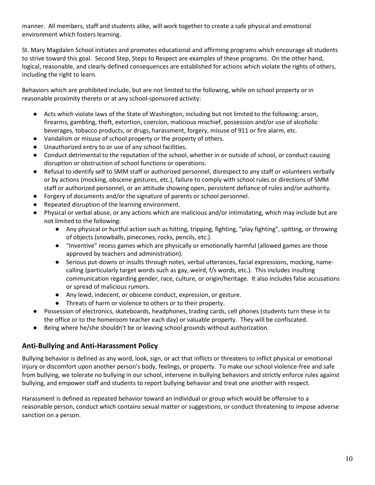manner. All members, staff and students alike, will work together to create a safe physical and emotional environment which fosters learning.

St. Mary Magdalen School initiates and promotes educational and affirming programs which encourage all students to strive toward this goal. Second Step, Steps to Respect are examples of these programs. On the other hand, logical, reasonable, and clearly defined consequences are established for actions which violate the rights of others, including the right to learn.

Behaviors which are prohibited include, but are not limited to the following, while on school property or in reasonable proximity thereto or at any school-sponsored activity:

- Acts which violate laws of the State of Washington, including but not limited to the following: arson, firearms, gambling, theft, extortion, coercion, malicious mischief, possession and/or use of alcoholic beverages, tobacco products, or drugs, harassment, forgery, misuse of 911 or fire alarm, etc.
- Vandalism or misuse of school property or the property of others.
- Unauthorized entry to or use of any school facilities.
- Conduct detrimental to the reputation of the school, whether in or outside of school, or conduct causing disruption or obstruction of school functions or operations.
- Refusal to identify self to SMM staff or authorized personnel, disrespect to any staff or volunteers verbally or by actions (mocking, obscene gestures, etc.), failure to comply with school rules or directions of SMM staff or authorized personnel, or an attitude showing open, persistent defiance of rules and/or authority.
- Forgery of documents and/or the signature of parents or school personnel.
- Repeated disruption of the learning environment.
- Physical or verbal abuse, or any actions which are malicious and/or intimidating, which may include but are not limited to the following:
	- Any physical or hurtful action such as hitting, tripping, fighting, "play fighting", spitting, or throwing of objects (snowballs, pinecones, rocks, pencils, etc.).
	- "Inventive" recess games which are physically or emotionally harmful (allowed games are those approved by teachers and administration).
	- Serious put-downs or insults through notes, verbal utterances, facial expressions, mocking, namecalling (particularly target words such as gay, weird, f/s words, etc.). This includes insulting communication regarding gender, race, culture, or origin/heritage. It also includes false accusations or spread of malicious rumors.
	- Any lewd, indecent, or obscene conduct, expression, or gesture.
	- Threats of harm or violence to others or to their property.
- Possession of electronics, skateboards, headphones, trading cards, cell phones (students turn these in to the office or to the homeroom teacher each day) or valuable property. They will be confiscated.
- Being where he/she shouldn't be or leaving school grounds without authorization.

## **Anti-Bullying and Anti-Harassment Policy**

Bullying behavior is defined as any word, look, sign, or act that inflicts or threatens to inflict physical or emotional injury or discomfort upon another person's body, feelings, or property. To make our school violence-free and safe from bullying, we tolerate no bullying in our school, intervene in bullying behaviors and strictly enforce rules against bullying, and empower staff and students to report bullying behavior and treat one another with respect.

Harassment is defined as repeated behavior toward an individual or group which would be offensive to a reasonable person, conduct which contains sexual matter or suggestions, or conduct threatening to impose adverse sanction on a person.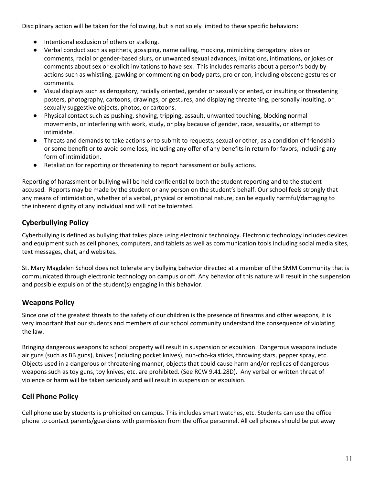Disciplinary action will be taken for the following, but is not solely limited to these specific behaviors:

- Intentional exclusion of others or stalking.
- Verbal conduct such as epithets, gossiping, name calling, mocking, mimicking derogatory jokes or comments, racial or gender-based slurs, or unwanted sexual advances, imitations, intimations, or jokes or comments about sex or explicit invitations to have sex. This includes remarks about a person's body by actions such as whistling, gawking or commenting on body parts, pro or con, including obscene gestures or comments.
- Visual displays such as derogatory, racially oriented, gender or sexually oriented, or insulting or threatening posters, photography, cartoons, drawings, or gestures, and displaying threatening, personally insulting, or sexually suggestive objects, photos, or cartoons.
- Physical contact such as pushing, shoving, tripping, assault, unwanted touching, blocking normal movements, or interfering with work, study, or play because of gender, race, sexuality, or attempt to intimidate.
- Threats and demands to take actions or to submit to requests, sexual or other, as a condition of friendship or some benefit or to avoid some loss, including any offer of any benefits in return for favors, including any form of intimidation.
- Retaliation for reporting or threatening to report harassment or bully actions.

Reporting of harassment or bullying will be held confidential to both the student reporting and to the student accused. Reports may be made by the student or any person on the student's behalf. Our school feels strongly that any means of intimidation, whether of a verbal, physical or emotional nature, can be equally harmful/damaging to the inherent dignity of any individual and will not be tolerated.

# **Cyberbullying Policy**

Cyberbullying is defined a[s bullying](http://www.stopbullying.gov/what-is-bullying/index.html) that takes place using electronic technology. Electronic technology includes devices and equipment such as cell phones, computers, and tablets as well as communication tools including social media sites, text messages, chat, and websites.

St. Mary Magdalen School does not tolerate any bullying behavior directed at a member of the SMM Community that is communicated through electronic technology on campus or off. Any behavior of this nature will result in the suspension and possible expulsion of the student(s) engaging in this behavior.

## **Weapons Policy**

Since one of the greatest threats to the safety of our children is the presence of firearms and other weapons, it is very important that our students and members of our school community understand the consequence of violating the law.

Bringing dangerous weapons to school property will result in suspension or expulsion. Dangerous weapons include air guns (such as BB guns), knives (including pocket knives), nun-cho-ka sticks, throwing stars, pepper spray, etc. Objects used in a dangerous or threatening manner, objects that could cause harm and/or replicas of dangerous weapons such as toy guns, toy knives, etc. are prohibited. (See RCW 9.41.28D). Any verbal or written threat of violence or harm will be taken seriously and will result in suspension or expulsion.

# **Cell Phone Policy**

Cell phone use by students is prohibited on campus. This includes smart watches, etc. Students can use the office phone to contact parents/guardians with permission from the office personnel. All cell phones should be put away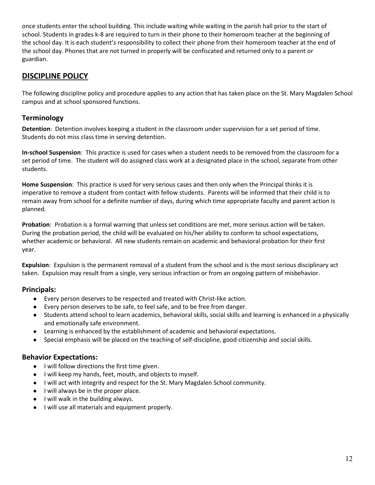once students enter the school building. This include waiting while waiting in the parish hall prior to the start of school. Students in grades k-8 are required to turn in their phone to their homeroom teacher at the beginning of the school day. It is each student's responsibility to collect their phone from their homeroom teacher at the end of the school day. Phones that are not turned in properly will be confiscated and returned only to a parent or guardian.

# **DISCIPLINE POLICY**

The following discipline policy and procedure applies to any action that has taken place on the St. Mary Magdalen School campus and at school sponsored functions.

## **Terminology**

**Detention**: Detention involves keeping a student in the classroom under supervision for a set period of time. Students do not miss class time in serving detention.

**In-school Suspension**: This practice is used for cases when a student needs to be removed from the classroom for a set period of time. The student will do assigned class work at a designated place in the school, separate from other students.

**Home Suspension**: This practice is used for very serious cases and then only when the Principal thinks it is imperative to remove a student from contact with fellow students. Parents will be informed that their child is to remain away from school for a definite number of days, during which time appropriate faculty and parent action is planned.

**Probation**: Probation is a formal warning that unless set conditions are met, more serious action will be taken. During the probation period, the child will be evaluated on his/her ability to conform to school expectations, whether academic or behavioral. All new students remain on academic and behavioral probation for their first year.

**Expulsion**: Expulsion is the permanent removal of a student from the school and is the most serious disciplinary act taken. Expulsion may result from a single, very serious infraction or from an ongoing pattern of misbehavior.

## **Principals:**

- Every person deserves to be respected and treated with Christ-like action.
- Every person deserves to be safe, to feel safe, and to be free from danger.
- Students attend school to learn academics, behavioral skills, social skills and learning is enhanced in a physically and emotionally safe environment.
- Learning is enhanced by the establishment of academic and behavioral expectations.
- Special emphasis will be placed on the teaching of self-discipline, good citizenship and social skills.

#### **Behavior Expectations:**

- I will follow directions the first time given.
- I will keep my hands, feet, mouth, and objects to myself.
- I will act with integrity and respect for the St. Mary Magdalen School community.
- I will always be in the proper place.
- I will walk in the building always.
- I will use all materials and equipment properly.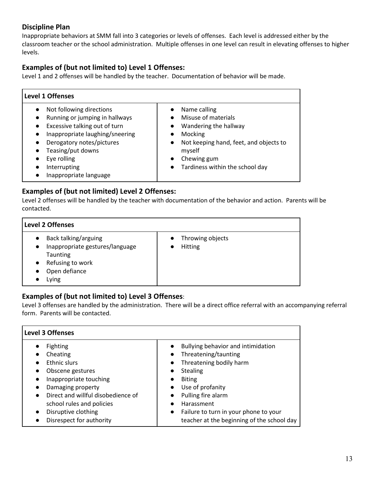# **Discipline Plan**

Inappropriate behaviors at SMM fall into 3 categories or levels of offenses. Each level is addressed either by the classroom teacher or the school administration. Multiple offenses in one level can result in elevating offenses to higher levels.

# **Examples of (but not limited to) Level 1 Offenses:**

Level 1 and 2 offenses will be handled by the teacher. Documentation of behavior will be made.

| <b>Level 1 Offenses</b>                                                                                                                                                                                                                                                                       |                                                                                                                                                                                            |  |  |  |  |  |  |
|-----------------------------------------------------------------------------------------------------------------------------------------------------------------------------------------------------------------------------------------------------------------------------------------------|--------------------------------------------------------------------------------------------------------------------------------------------------------------------------------------------|--|--|--|--|--|--|
| Not following directions<br>Running or jumping in hallways<br>$\bullet$<br>Excessive talking out of turn<br>$\bullet$<br>Inappropriate laughing/sneering<br>$\bullet$<br>Derogatory notes/pictures<br>$\bullet$<br>Teasing/put downs<br>Eye rolling<br>Interrupting<br>Inappropriate language | Name calling<br>Misuse of materials<br>Wandering the hallway<br>Mocking<br>Not keeping hand, feet, and objects to<br>$\bullet$<br>myself<br>Chewing gum<br>Tardiness within the school day |  |  |  |  |  |  |

#### **Examples of (but not limited) Level 2 Offenses:**

Level 2 offenses will be handled by the teacher with documentation of the behavior and action. Parents will be contacted.

| <b>Level 2 Offenses</b>                                                                                                        |                             |  |  |  |  |  |  |  |
|--------------------------------------------------------------------------------------------------------------------------------|-----------------------------|--|--|--|--|--|--|--|
| Back talking/arguing<br>Inappropriate gestures/language<br>$\bullet$<br>Taunting<br>Refusing to work<br>Open defiance<br>∟ying | Throwing objects<br>Hitting |  |  |  |  |  |  |  |

## **Examples of (but not limited to) Level 3 Offenses**:

Level 3 offenses are handled by the administration. There will be a direct office referral with an accompanying referral form. Parents will be contacted.

| <b>Level 3 Offenses</b>                         |                                                    |  |  |  |  |  |  |
|-------------------------------------------------|----------------------------------------------------|--|--|--|--|--|--|
| <b>Fighting</b>                                 | Bullying behavior and intimidation                 |  |  |  |  |  |  |
| Cheating                                        | Threatening/taunting                               |  |  |  |  |  |  |
| <b>Ethnic slurs</b>                             | Threatening bodily harm                            |  |  |  |  |  |  |
| Obscene gestures<br>$\bullet$                   | <b>Stealing</b><br>$\bullet$                       |  |  |  |  |  |  |
| Inappropriate touching<br>$\bullet$             | <b>Biting</b><br>$\bullet$                         |  |  |  |  |  |  |
| Damaging property<br>$\bullet$                  | Use of profanity<br>$\bullet$                      |  |  |  |  |  |  |
| Direct and willful disobedience of<br>$\bullet$ | Pulling fire alarm<br>$\bullet$                    |  |  |  |  |  |  |
| school rules and policies                       | Harassment                                         |  |  |  |  |  |  |
| Disruptive clothing<br>$\bullet$                | Failure to turn in your phone to your<br>$\bullet$ |  |  |  |  |  |  |
| Disrespect for authority                        | teacher at the beginning of the school day         |  |  |  |  |  |  |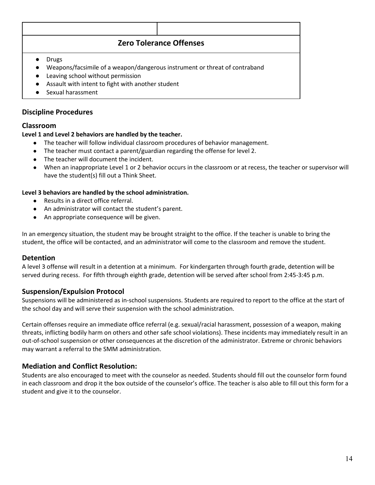# **Zero Tolerance Offenses**

- Drugs
- Weapons/facsimile of a weapon/dangerous instrument or threat of contraband
- Leaving school without permission
- Assault with intent to fight with another student
- Sexual harassment

#### **Discipline Procedures**

#### **Classroom**

#### **Level 1 and Level 2 behaviors are handled by the teacher.**

- The teacher will follow individual classroom procedures of behavior management.
- The teacher must contact a parent/guardian regarding the offense for level 2.
- The teacher will document the incident.
- When an inappropriate Level 1 or 2 behavior occurs in the classroom or at recess, the teacher or supervisor will have the student(s) fill out a Think Sheet.

#### **Level 3 behaviors are handled by the school administration.**

- Results in a direct office referral.
- An administrator will contact the student's parent.
- An appropriate consequence will be given.

In an emergency situation, the student may be brought straight to the office. If the teacher is unable to bring the student, the office will be contacted, and an administrator will come to the classroom and remove the student.

#### **Detention**

A level 3 offense will result in a detention at a minimum. For kindergarten through fourth grade, detention will be served during recess. For fifth through eighth grade, detention will be served after school from 2:45-3:45 p.m.

#### **Suspension/Expulsion Protocol**

Suspensions will be administered as in-school suspensions. Students are required to report to the office at the start of the school day and will serve their suspension with the school administration.

Certain offenses require an immediate office referral (e.g. sexual/racial harassment, possession of a weapon, making threats, inflicting bodily harm on others and other safe school violations). These incidents may immediately result in an out-of-school suspension or other consequences at the discretion of the administrator. Extreme or chronic behaviors may warrant a referral to the SMM administration.

#### **Mediation and Conflict Resolution:**

Students are also encouraged to meet with the counselor as needed. Students should fill out the counselor form found in each classroom and drop it the box outside of the counselor's office. The teacher is also able to fill out this form for a student and give it to the counselor.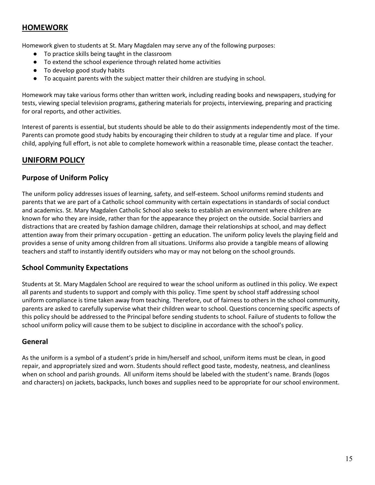# **HOMEWORK**

Homework given to students at St. Mary Magdalen may serve any of the following purposes:

- To practice skills being taught in the classroom
- To extend the school experience through related home activities
- To develop good study habits
- To acquaint parents with the subject matter their children are studying in school.

Homework may take various forms other than written work, including reading books and newspapers, studying for tests, viewing special television programs, gathering materials for projects, interviewing, preparing and practicing for oral reports, and other activities.

Interest of parents is essential, but students should be able to do their assignments independently most of the time. Parents can promote good study habits by encouraging their children to study at a regular time and place. If your child, applying full effort, is not able to complete homework within a reasonable time, please contact the teacher.

## **UNIFORM POLICY**

#### **Purpose of Uniform Policy**

The uniform policy addresses issues of learning, safety, and self-esteem. School uniforms remind students and parents that we are part of a Catholic school community with certain expectations in standards of social conduct and academics. St. Mary Magdalen Catholic School also seeks to establish an environment where children are known for who they are inside, rather than for the appearance they project on the outside. Social barriers and distractions that are created by fashion damage children, damage their relationships at school, and may deflect attention away from their primary occupation - getting an education. The uniform policy levels the playing field and provides a sense of unity among children from all situations. Uniforms also provide a tangible means of allowing teachers and staff to instantly identify outsiders who may or may not belong on the school grounds.

#### **School Community Expectations**

Students at St. Mary Magdalen School are required to wear the school uniform as outlined in this policy. We expect all parents and students to support and comply with this policy. Time spent by school staff addressing school uniform compliance is time taken away from teaching. Therefore, out of fairness to others in the school community, parents are asked to carefully supervise what their children wear to school. Questions concerning specific aspects of this policy should be addressed to the Principal before sending students to school. Failure of students to follow the school uniform policy will cause them to be subject to discipline in accordance with the school's policy.

#### **General**

As the uniform is a symbol of a student's pride in him/herself and school, uniform items must be clean, in good repair, and appropriately sized and worn. Students should reflect good taste, modesty, neatness, and cleanliness when on school and parish grounds. All uniform items should be labeled with the student's name. Brands (logos and characters) on jackets, backpacks, lunch boxes and supplies need to be appropriate for our school environment.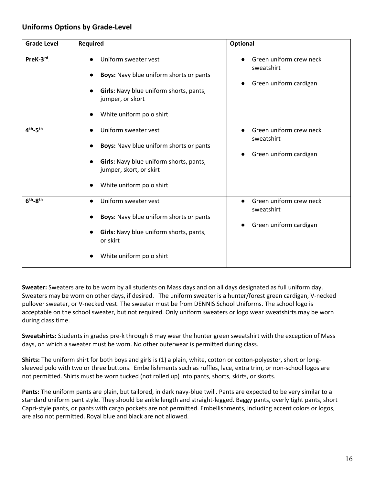#### **Uniforms Options by Grade-Level**

| <b>Grade Level</b> | <b>Required</b>                                                    | Optional                                           |  |  |  |
|--------------------|--------------------------------------------------------------------|----------------------------------------------------|--|--|--|
| PreK-3rd           | Uniform sweater vest<br>$\bullet$                                  | Green uniform crew neck<br>$\bullet$<br>sweatshirt |  |  |  |
|                    | <b>Boys:</b> Navy blue uniform shorts or pants                     | Green uniform cardigan<br>$\bullet$                |  |  |  |
|                    | Girls: Navy blue uniform shorts, pants,<br>jumper, or skort        |                                                    |  |  |  |
|                    | White uniform polo shirt                                           |                                                    |  |  |  |
| $4th - 5th$        | Uniform sweater vest                                               | Green uniform crew neck<br>$\bullet$<br>sweatshirt |  |  |  |
|                    | <b>Boys:</b> Navy blue uniform shorts or pants                     |                                                    |  |  |  |
|                    | Girls: Navy blue uniform shorts, pants,<br>jumper, skort, or skirt | Green uniform cardigan                             |  |  |  |
|                    | White uniform polo shirt                                           |                                                    |  |  |  |
| $6th - 8th$        | Uniform sweater vest                                               | Green uniform crew neck<br>$\bullet$<br>sweatshirt |  |  |  |
|                    | <b>Boys:</b> Navy blue uniform shorts or pants                     |                                                    |  |  |  |
|                    | Girls: Navy blue uniform shorts, pants,<br>or skirt                | Green uniform cardigan                             |  |  |  |
|                    | White uniform polo shirt                                           |                                                    |  |  |  |

**Sweater:** Sweaters are to be worn by all students on Mass days and on all days designated as full uniform day. Sweaters may be worn on other days, if desired. The uniform sweater is a hunter/forest green cardigan, V-necked pullover sweater, or V-necked vest. The sweater must be from DENNIS School Uniforms. The school logo is acceptable on the school sweater, but not required. Only uniform sweaters or logo wear sweatshirts may be worn during class time.

**Sweatshirts:** Students in grades pre-k through 8 may wear the hunter green sweatshirt with the exception of Mass days, on which a sweater must be worn. No other outerwear is permitted during class.

**Shirts:** The uniform shirt for both boys and girls is (1) a plain, white, cotton or cotton-polyester, short or longsleeved polo with two or three buttons. Embellishments such as ruffles, lace, extra trim, or non-school logos are not permitted. Shirts must be worn tucked (not rolled up) into pants, shorts, skirts, or skorts.

**Pants:** The uniform pants are plain, but tailored, in dark navy-blue twill. Pants are expected to be very similar to a standard uniform pant style. They should be ankle length and straight-legged. Baggy pants, overly tight pants, short Capri-style pants, or pants with cargo pockets are not permitted. Embellishments, including accent colors or logos, are also not permitted. Royal blue and black are not allowed.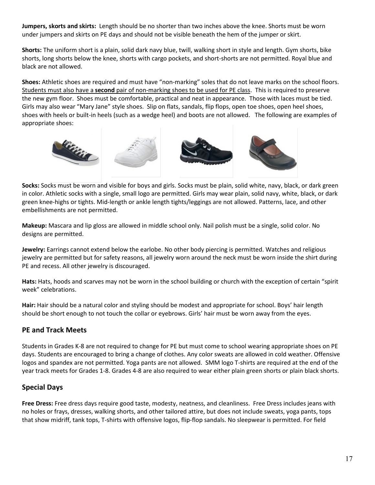**Jumpers, skorts and skirts:** Length should be no shorter than two inches above the knee. Shorts must be worn under jumpers and skirts on PE days and should not be visible beneath the hem of the jumper or skirt.

**Shorts:** The uniform short is a plain, solid dark navy blue, twill, walking short in style and length. Gym shorts, bike shorts, long shorts below the knee, shorts with cargo pockets, and short-shorts are not permitted. Royal blue and black are not allowed.

**Shoes:** Athletic shoes are required and must have "non-marking" soles that do not leave marks on the school floors. Students must also have a **second** pair of non-marking shoes to be used for PE class. This is required to preserve the new gym floor. Shoes must be comfortable, practical and neat in appearance. Those with laces must be tied. Girls may also wear "Mary Jane" style shoes. Slip on flats, sandals, flip flops, open toe shoes, open heel shoes, shoes with heels or built-in heels (such as a wedge heel) and boots are not allowed. The following are examples of appropriate shoes:



**Socks:** Socks must be worn and visible for boys and girls. Socks must be plain, solid white, navy, black, or dark green in color. Athletic socks with a single, small logo are permitted. Girls may wear plain, solid navy, white, black, or dark green knee-highs or tights. Mid-length or ankle length tights/leggings are not allowed. Patterns, lace, and other embellishments are not permitted.

**Makeup:** Mascara and lip gloss are allowed in middle school only. Nail polish must be a single, solid color. No designs are permitted.

**Jewelry:** Earrings cannot extend below the earlobe. No other body piercing is permitted. Watches and religious jewelry are permitted but for safety reasons, all jewelry worn around the neck must be worn inside the shirt during PE and recess. All other jewelry is discouraged.

**Hats:** Hats, hoods and scarves may not be worn in the school building or church with the exception of certain "spirit week" celebrations.

**Hair:** Hair should be a natural color and styling should be modest and appropriate for school. Boys' hair length should be short enough to not touch the collar or eyebrows. Girls' hair must be worn away from the eyes.

## **PE and Track Meets**

Students in Grades K-8 are not required to change for PE but must come to school wearing appropriate shoes on PE days. Students are encouraged to bring a change of clothes. Any color sweats are allowed in cold weather. Offensive logos and spandex are not permitted. Yoga pants are not allowed. SMM logo T-shirts are required at the end of the year track meets for Grades 1-8. Grades 4-8 are also required to wear either plain green shorts or plain black shorts.

## **Special Days**

**Free Dress:** Free dress days require good taste, modesty, neatness, and cleanliness. Free Dress includes jeans with no holes or frays, dresses, walking shorts, and other tailored attire, but does not include sweats, yoga pants, tops that show midriff, tank tops, T-shirts with offensive logos, flip-flop sandals. No sleepwear is permitted. For field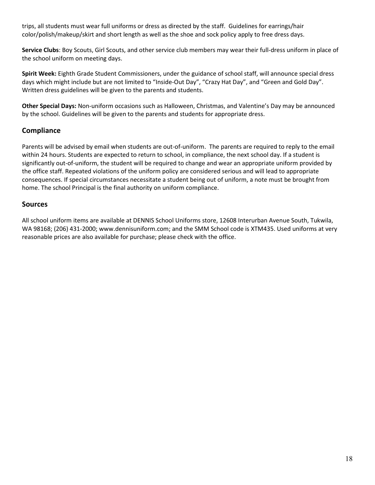trips, all students must wear full uniforms or dress as directed by the staff. Guidelines for earrings/hair color/polish/makeup/skirt and short length as well as the shoe and sock policy apply to free dress days.

**Service Clubs**: Boy Scouts, Girl Scouts, and other service club members may wear their full-dress uniform in place of the school uniform on meeting days.

**Spirit Week:** Eighth Grade Student Commissioners, under the guidance of school staff, will announce special dress days which might include but are not limited to "Inside-Out Day", "Crazy Hat Day", and "Green and Gold Day". Written dress guidelines will be given to the parents and students.

**Other Special Days:** Non-uniform occasions such as Halloween, Christmas, and Valentine's Day may be announced by the school. Guidelines will be given to the parents and students for appropriate dress.

#### **Compliance**

Parents will be advised by email when students are out-of-uniform. The parents are required to reply to the email within 24 hours. Students are expected to return to school, in compliance, the next school day. If a student is significantly out-of-uniform, the student will be required to change and wear an appropriate uniform provided by the office staff. Repeated violations of the uniform policy are considered serious and will lead to appropriate consequences. If special circumstances necessitate a student being out of uniform, a note must be brought from home. The school Principal is the final authority on uniform compliance.

#### **Sources**

All school uniform items are available at DENNIS School Uniforms store, 12608 Interurban Avenue South, Tukwila, WA 98168; (206) 431-2000; www.dennisuniform.com; and the SMM School code is XTM435. Used uniforms at very reasonable prices are also available for purchase; please check with the office.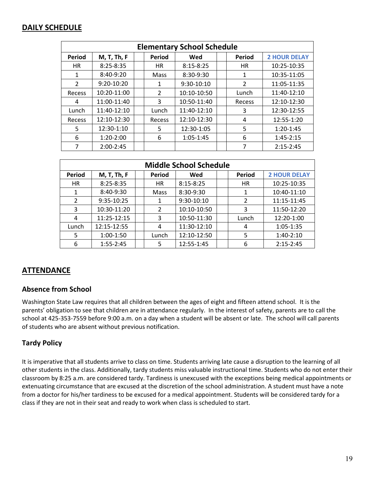# **DAILY SCHEDULE**

| <b>Elementary School Schedule</b> |                    |  |               |               |  |                |                     |
|-----------------------------------|--------------------|--|---------------|---------------|--|----------------|---------------------|
| <b>Period</b>                     | <b>M, T, Th, F</b> |  | <b>Period</b> | Wed           |  | <b>Period</b>  | <b>2 HOUR DELAY</b> |
| <b>HR</b>                         | $8:25 - 8:35$      |  | <b>HR</b>     | $8:15 - 8:25$ |  | <b>HR</b>      | 10:25-10:35         |
| 1                                 | $8:40-9:20$        |  | Mass          | 8:30-9:30     |  | 1              | 10:35-11:05         |
| $\mathcal{P}$                     | 9:20-10:20         |  | 1             | $9:30-10:10$  |  | $\overline{2}$ | 11:05-11:35         |
| Recess                            | 10:20-11:00        |  | $\mathcal{P}$ | 10:10-10:50   |  | Lunch          | 11:40-12:10         |
| 4                                 | 11:00-11:40        |  | 3             | 10:50-11:40   |  | Recess         | 12:10-12:30         |
| Lunch                             | 11:40-12:10        |  | Lunch         | 11:40-12:10   |  | 3              | 12:30-12:55         |
| Recess                            | 12:10-12:30        |  | Recess        | 12:10-12:30   |  | 4              | 12:55-1:20          |
| 5                                 | 12:30-1:10         |  | 5             | 12:30-1:05    |  | 5              | $1:20-1:45$         |
| 6                                 | $1:20-2:00$        |  | 6             | $1:05 - 1:45$ |  | 6              | $1:45-2:15$         |
| 7                                 | $2:00-2:45$        |  |               |               |  | 7              | $2:15 - 2:45$       |

| <b>Middle School Schedule</b> |                    |  |               |               |  |                |                     |
|-------------------------------|--------------------|--|---------------|---------------|--|----------------|---------------------|
| Period                        | <b>M, T, Th, F</b> |  | <b>Period</b> | Wed           |  | Period         | <b>2 HOUR DELAY</b> |
| HR                            | $8:25 - 8:35$      |  | <b>HR</b>     | $8:15 - 8:25$ |  | <b>HR</b>      | 10:25-10:35         |
| 1                             | 8:40-9:30          |  | Mass          | $8:30-9:30$   |  | 1              | 10:40-11:10         |
| 2                             | 9:35-10:25         |  |               | 9:30-10:10    |  | $\overline{2}$ | 11:15-11:45         |
| 3                             | 10:30-11:20        |  | 2             | 10:10-10:50   |  | 3              | 11:50-12:20         |
| 4                             | 11:25-12:15        |  | 3             | 10:50-11:30   |  | Lunch          | 12:20-1:00          |
| Lunch                         | 12:15-12:55        |  | 4             | 11:30-12:10   |  | 4              | 1:05-1:35           |
| 5                             | $1:00-1:50$        |  | Lunch         | 12:10-12:50   |  | 5              | $1:40-2:10$         |
| 6                             | $1:55 - 2:45$      |  | 5             | 12:55-1:45    |  | 6              | $2:15 - 2:45$       |

# **ATTENDANCE**

#### **Absence from School**

Washington State Law requires that all children between the ages of eight and fifteen attend school. It is the parents' obligation to see that children are in attendance regularly. In the interest of safety, parents are to call the school at 425-353-7559 before 9:00 a.m. on a day when a student will be absent or late. The school will call parents of students who are absent without previous notification.

#### **Tardy Policy**

It is imperative that all students arrive to class on time. Students arriving late cause a disruption to the learning of all other students in the class. Additionally, tardy students miss valuable instructional time. Students who do not enter their classroom by 8:25 a.m. are considered tardy. Tardiness is unexcused with the exceptions being medical appointments or extenuating circumstance that are excused at the discretion of the school administration. A student must have a note from a doctor for his/her tardiness to be excused for a medical appointment. Students will be considered tardy for a class if they are not in their seat and ready to work when class is scheduled to start.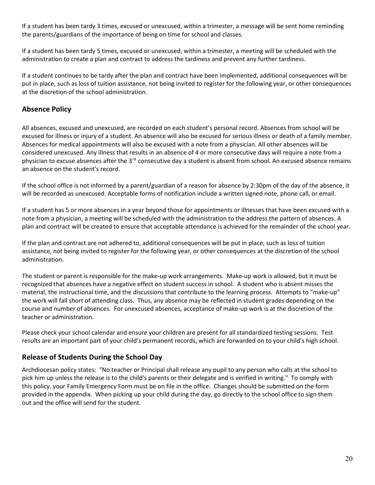If a student has been tardy 3 times, excused or unexcused, within a trimester, a message will be sent home reminding the parents/guardians of the importance of being on time for school and classes.

If a student has been tardy 5 times, excused or unexcused, within a trimester, a meeting will be scheduled with the administration to create a plan and contract to address the tardiness and prevent any further tardiness.

If a student continues to be tardy after the plan and contract have been implemented, additional consequences will be put in place, such as loss of tuition assistance, not being invited to register for the following year, or other consequences at the discretion of the school administration.

## **Absence Policy**

All absences, excused and unexcused, are recorded on each student's personal record. Absences from school will be excused for illness or injury of a student. An absence will also be excused for serious illness or death of a family member. Absences for medical appointments will also be excused with a note from a physician. All other absences will be considered unexcused. Any illness that results in an absence of 4 or more consecutive days will require a note from a physician to excuse absences after the 3<sup>rd</sup> consecutive day a student is absent from school. An excused absence remains an absence on the student's record.

If the school office is not informed by a parent/guardian of a reason for absence by 2:30pm of the day of the absence, it will be recorded as unexcused. Acceptable forms of notification include a written signed note, phone call, or email.

If a student has 5 or more absences in a year beyond those for appointments or illnesses that have been excused with a note from a physician, a meeting will be scheduled with the administration to the address the pattern of absences. A plan and contract will be created to ensure that acceptable attendance is achieved for the remainder of the school year.

If the plan and contract are not adhered to, additional consequences will be put in place, such as loss of tuition assistance, not being invited to register for the following year, or other consequences at the discretion of the school administration.

The student or parent is responsible for the make-up work arrangements. Make-up work is allowed, but it must be recognized that absences have a negative effect on student success in school. A student who is absent misses the material, the instructional time, and the discussions that contribute to the learning process. Attempts to "make-up" the work will fall short of attending class. Thus, any absence may be reflected in student grades depending on the course and number of absences. For unexcused absences, acceptance of make-up work is at the discretion of the teacher or administration.

Please check your school calendar and ensure your children are present for all standardized testing sessions. Test results are an important part of your child's permanent records, which are forwarded on to your child's high school.

## **Release of Students During the School Day**

Archdiocesan policy states: "No teacher or Principal shall release any pupil to any person who calls at the school to pick him up unless the release is to the child's parents or their delegate and is verified in writing." To comply with this policy, your Family Emergency Form must be on file in the office. Changes should be submitted on the form provided in the appendix. When picking up your child during the day, go directly to the school office to sign them out and the office will send for the student.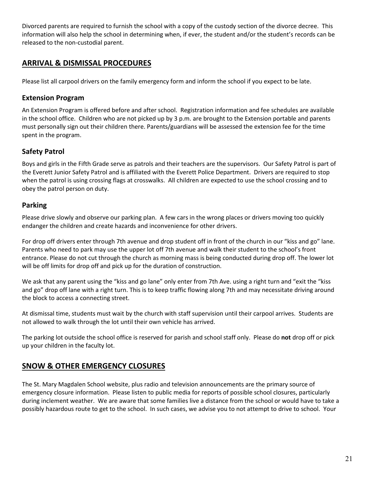Divorced parents are required to furnish the school with a copy of the custody section of the divorce decree. This information will also help the school in determining when, if ever, the student and/or the student's records can be released to the non-custodial parent.

# **ARRIVAL & DISMISSAL PROCEDURES**

Please list all carpool drivers on the family emergency form and inform the school if you expect to be late.

#### **Extension Program**

An Extension Program is offered before and after school. Registration information and fee schedules are available in the school office. Children who are not picked up by 3 p.m. are brought to the Extension portable and parents must personally sign out their children there. Parents/guardians will be assessed the extension fee for the time spent in the program.

## **Safety Patrol**

Boys and girls in the Fifth Grade serve as patrols and their teachers are the supervisors. Our Safety Patrol is part of the Everett Junior Safety Patrol and is affiliated with the Everett Police Department. Drivers are required to stop when the patrol is using crossing flags at crosswalks. All children are expected to use the school crossing and to obey the patrol person on duty.

#### **Parking**

Please drive slowly and observe our parking plan. A few cars in the wrong places or drivers moving too quickly endanger the children and create hazards and inconvenience for other drivers.

For drop off drivers enter through 7th avenue and drop student off in front of the church in our "kiss and go" lane. Parents who need to park may use the upper lot off 7th avenue and walk their student to the school's front entrance. Please do not cut through the church as morning mass is being conducted during drop off. The lower lot will be off limits for drop off and pick up for the duration of construction.

We ask that any parent using the "kiss and go lane" only enter from 7th Ave. using a right turn and "exit the "kiss and go" drop off lane with a right turn. This is to keep traffic flowing along 7th and may necessitate driving around the block to access a connecting street.

At dismissal time, students must wait by the church with staff supervision until their carpool arrives. Students are not allowed to walk through the lot until their own vehicle has arrived.

The parking lot outside the school office is reserved for parish and school staff only. Please do **not** drop off or pick up your children in the faculty lot.

# **SNOW & OTHER EMERGENCY CLOSURES**

The St. Mary Magdalen School website, plus radio and television announcements are the primary source of emergency closure information. Please listen to public media for reports of possible school closures, particularly during inclement weather. We are aware that some families live a distance from the school or would have to take a possibly hazardous route to get to the school. In such cases, we advise you to not attempt to drive to school. Your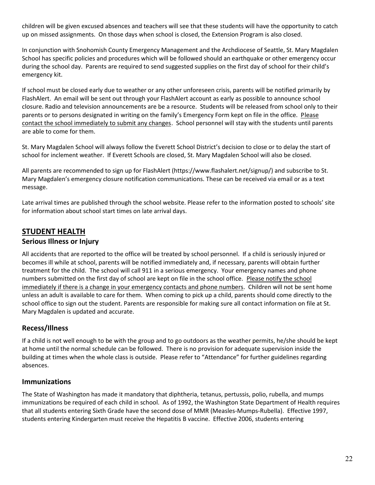children will be given excused absences and teachers will see that these students will have the opportunity to catch up on missed assignments. On those days when school is closed, the Extension Program is also closed.

In conjunction with Snohomish County Emergency Management and the Archdiocese of Seattle, St. Mary Magdalen School has specific policies and procedures which will be followed should an earthquake or other emergency occur during the school day. Parents are required to send suggested supplies on the first day of school for their child's emergency kit.

If school must be closed early due to weather or any other unforeseen crisis, parents will be notified primarily by FlashAlert. An email will be sent out through your FlashAlert account as early as possible to announce school closure. Radio and television announcements are be a resource. Students will be released from school only to their parents or to persons designated in writing on the family's Emergency Form kept on file in the office. Please contact the school immediately to submit any changes. School personnel will stay with the students until parents are able to come for them.

St. Mary Magdalen School will always follow the Everett School District's decision to close or to delay the start of school for inclement weather. If Everett Schools are closed, St. Mary Magdalen School will also be closed.

All parents are recommended to sign up for FlashAlert (https://www.flashalert.net/signup/) and subscribe to St. Mary Magdalen's emergency closure notification communications. These can be received via email or as a text message.

Late arrival times are published through the school website. Please refer to the information posted to schools' site for information about school start times on late arrival days.

# **STUDENT HEALTH**

#### **Serious Illness or Injury**

All accidents that are reported to the office will be treated by school personnel. If a child is seriously injured or becomes ill while at school, parents will be notified immediately and, if necessary, parents will obtain further treatment for the child. The school will call 911 in a serious emergency. Your emergency names and phone numbers submitted on the first day of school are kept on file in the school office. Please notify the school immediately if there is a change in your emergency contacts and phone numbers. Children will not be sent home unless an adult is available to care for them. When coming to pick up a child, parents should come directly to the school office to sign out the student. Parents are responsible for making sure all contact information on file at St. Mary Magdalen is updated and accurate.

## **Recess/Illness**

If a child is not well enough to be with the group and to go outdoors as the weather permits, he/she should be kept at home until the normal schedule can be followed. There is no provision for adequate supervision inside the building at times when the whole class is outside. Please refer to "Attendance" for further guidelines regarding absences.

#### **Immunizations**

The State of Washington has made it mandatory that diphtheria, tetanus, pertussis, polio, rubella, and mumps immunizations be required of each child in school. As of 1992, the Washington State Department of Health requires that all students entering Sixth Grade have the second dose of MMR (Measles-Mumps-Rubella). Effective 1997, students entering Kindergarten must receive the Hepatitis B vaccine. Effective 2006, students entering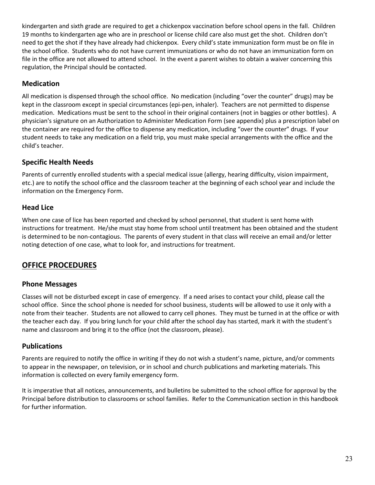kindergarten and sixth grade are required to get a chickenpox vaccination before school opens in the fall. Children 19 months to kindergarten age who are in preschool or license child care also must get the shot. Children don't need to get the shot if they have already had chickenpox. Every child's state immunization form must be on file in the school office. Students who do not have current immunizations or who do not have an immunization form on file in the office are not allowed to attend school. In the event a parent wishes to obtain a waiver concerning this regulation, the Principal should be contacted.

## **Medication**

All medication is dispensed through the school office. No medication (including "over the counter" drugs) may be kept in the classroom except in special circumstances (epi-pen, inhaler). Teachers are not permitted to dispense medication. Medications must be sent to the school in their original containers (not in baggies or other bottles). A physician's signature on an Authorization to Administer Medication Form (see appendix) plus a prescription label on the container are required for the office to dispense any medication, including "over the counter" drugs. If your student needs to take any medication on a field trip, you must make special arrangements with the office and the child's teacher.

# **Specific Health Needs**

Parents of currently enrolled students with a special medical issue (allergy, hearing difficulty, vision impairment, etc.) are to notify the school office and the classroom teacher at the beginning of each school year and include the information on the Emergency Form.

# **Head Lice**

When one case of lice has been reported and checked by school personnel, that student is sent home with instructions for treatment. He/she must stay home from school until treatment has been obtained and the student is determined to be non-contagious. The parents of every student in that class will receive an email and/or letter noting detection of one case, what to look for, and instructions for treatment.

# **OFFICE PROCEDURES**

## **Phone Messages**

Classes will not be disturbed except in case of emergency. If a need arises to contact your child, please call the school office. Since the school phone is needed for school business, students will be allowed to use it only with a note from their teacher. Students are not allowed to carry cell phones. They must be turned in at the office or with the teacher each day. If you bring lunch for your child after the school day has started, mark it with the student's name and classroom and bring it to the office (not the classroom, please).

## **Publications**

Parents are required to notify the office in writing if they do not wish a student's name, picture, and/or comments to appear in the newspaper, on television, or in school and church publications and marketing materials. This information is collected on every family emergency form.

It is imperative that all notices, announcements, and bulletins be submitted to the school office for approval by the Principal before distribution to classrooms or school families. Refer to the Communication section in this handbook for further information.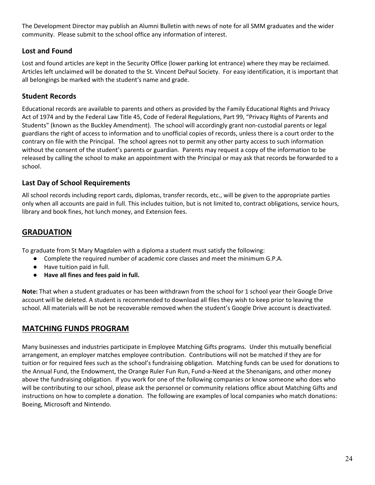The Development Director may publish an Alumni Bulletin with news of note for all SMM graduates and the wider community. Please submit to the school office any information of interest.

# **Lost and Found**

Lost and found articles are kept in the Security Office (lower parking lot entrance) where they may be reclaimed. Articles left unclaimed will be donated to the St. Vincent DePaul Society. For easy identification, it is important that all belongings be marked with the student's name and grade.

# **Student Records**

Educational records are available to parents and others as provided by the Family Educational Rights and Privacy Act of 1974 and by the Federal Law Title 45, Code of Federal Regulations, Part 99, "Privacy Rights of Parents and Students" (known as the Buckley Amendment). The school will accordingly grant non-custodial parents or legal guardians the right of access to information and to unofficial copies of records, unless there is a court order to the contrary on file with the Principal. The school agrees not to permit any other party access to such information without the consent of the student's parents or guardian. Parents may request a copy of the information to be released by calling the school to make an appointment with the Principal or may ask that records be forwarded to a school.

# **Last Day of School Requirements**

All school records including report cards, diplomas, transfer records, etc., will be given to the appropriate parties only when all accounts are paid in full. This includes tuition, but is not limited to, contract obligations, service hours, library and book fines, hot lunch money, and Extension fees.

# **GRADUATION**

To graduate from St Mary Magdalen with a diploma a student must satisfy the following:

- Complete the required number of academic core classes and meet the minimum G.P.A.
- Have tuition paid in full.
- **Have all fines and fees paid in full.**

**Note:** That when a student graduates or has been withdrawn from the school for 1 school year their Google Drive account will be deleted. A student is recommended to download all files they wish to keep prior to leaving the school. All materials will be not be recoverable removed when the student's Google Drive account is deactivated.

## **MATCHING FUNDS PROGRAM**

Many businesses and industries participate in Employee Matching Gifts programs. Under this mutually beneficial arrangement, an employer matches employee contribution. Contributions will not be matched if they are for tuition or for required fees such as the school's fundraising obligation. Matching funds can be used for donations to the Annual Fund, the Endowment, the Orange Ruler Fun Run, Fund-a-Need at the Shenanigans, and other money above the fundraising obligation. If you work for one of the following companies or know someone who does who will be contributing to our school, please ask the personnel or community relations office about Matching Gifts and instructions on how to complete a donation. The following are examples of local companies who match donations: Boeing, Microsoft and Nintendo.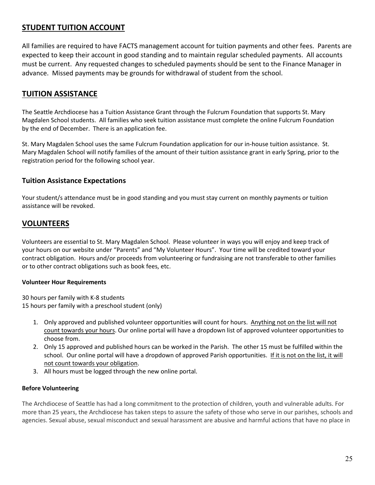# **STUDENT TUITION ACCOUNT**

All families are required to have FACTS management account for tuition payments and other fees. Parents are expected to keep their account in good standing and to maintain regular scheduled payments. All accounts must be current. Any requested changes to scheduled payments should be sent to the Finance Manager in advance. Missed payments may be grounds for withdrawal of student from the school.

# **TUITION ASSISTANCE**

The Seattle Archdiocese has a Tuition Assistance Grant through the Fulcrum Foundation that supports St. Mary Magdalen School students. All families who seek tuition assistance must complete the online Fulcrum Foundation by the end of December. There is an application fee.

St. Mary Magdalen School uses the same Fulcrum Foundation application for our in-house tuition assistance. St. Mary Magdalen School will notify families of the amount of their tuition assistance grant in early Spring, prior to the registration period for the following school year.

#### **Tuition Assistance Expectations**

Your student/s attendance must be in good standing and you must stay current on monthly payments or tuition assistance will be revoked.

## **VOLUNTEERS**

Volunteers are essential to St. Mary Magdalen School. Please volunteer in ways you will enjoy and keep track of your hours on our website under "Parents" and "My Volunteer Hours". Your time will be credited toward your contract obligation. Hours and/or proceeds from volunteering or fundraising are not transferable to other families or to other contract obligations such as book fees, etc.

#### **Volunteer Hour Requirements**

30 hours per family with K-8 students 15 hours per family with a preschool student (only)

- 1. Only approved and published volunteer opportunities will count for hours. Anything not on the list will not count towards your hours. Our online portal will have a dropdown list of approved volunteer opportunities to choose from.
- 2. Only 15 approved and published hours can be worked in the Parish. The other 15 must be fulfilled within the school. Our online portal will have a dropdown of approved Parish opportunities. If it is not on the list, it will not count towards your obligation.
- 3. All hours must be logged through the new online portal.

#### **Before Volunteering**

The Archdiocese of Seattle has had a long commitment to the protection of children, youth and vulnerable adults. For more than 25 years, the Archdiocese has taken steps to assure the safety of those who serve in our parishes, schools and agencies. Sexual abuse, sexual misconduct and sexual harassment are abusive and harmful actions that have no place in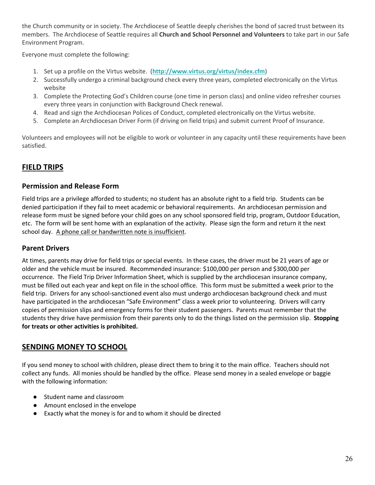the Church community or in society. The Archdiocese of Seattle deeply cherishes the bond of sacred trust between its members. The Archdiocese of Seattle requires all **Church and School Personnel and Volunteers** to take part in our Safe Environment Program.

Everyone must complete the following:

- 1. Set up a profile on the Virtus website. (**<http://www.virtus.org/virtus/index.cfm>**)
- 2. Successfully undergo a criminal background check every three years, completed electronically on the Virtus website
- 3. Complete the Protecting God's Children course (one time in person class) and online video refresher courses every three years in conjunction with Background Check renewal.
- 4. Read and sign the Archdiocesan Polices of Conduct, completed electronically on the Virtus website.
- 5. Complete an Archdiocesan Driver Form (if driving on field trips) and submit current Proof of Insurance.

Volunteers and employees will not be eligible to work or volunteer in any capacity until these requirements have been satisfied.

# **FIELD TRIPS**

#### **Permission and Release Form**

Field trips are a privilege afforded to students; no student has an absolute right to a field trip. Students can be denied participation if they fail to meet academic or behavioral requirements. An archdiocesan permission and release form must be signed before your child goes on any school sponsored field trip, program, Outdoor Education, etc. The form will be sent home with an explanation of the activity. Please sign the form and return it the next school day. A phone call or handwritten note is insufficient.

#### **Parent Drivers**

At times, parents may drive for field trips or special events. In these cases, the driver must be 21 years of age or older and the vehicle must be insured. Recommended insurance: \$100,000 per person and \$300,000 per occurrence. The Field Trip Driver Information Sheet, which is supplied by the archdiocesan insurance company, must be filled out each year and kept on file in the school office. This form must be submitted a week prior to the field trip. Drivers for any school-sanctioned event also must undergo archdiocesan background check and must have participated in the archdiocesan "Safe Environment" class a week prior to volunteering. Drivers will carry copies of permission slips and emergency forms for their student passengers. Parents must remember that the students they drive have permission from their parents only to do the things listed on the permission slip. **Stopping for treats or other activities is prohibited.**

## **SENDING MONEY TO SCHOOL**

If you send money to school with children, please direct them to bring it to the main office. Teachers should not collect any funds. All monies should be handled by the office. Please send money in a sealed envelope or baggie with the following information:

- Student name and classroom
- Amount enclosed in the envelope
- Exactly what the money is for and to whom it should be directed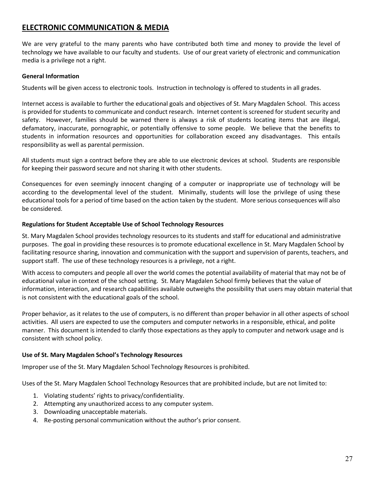# **ELECTRONIC COMMUNICATION & MEDIA**

We are very grateful to the many parents who have contributed both time and money to provide the level of technology we have available to our faculty and students. Use of our great variety of electronic and communication media is a privilege not a right.

#### **General Information**

Students will be given access to electronic tools. Instruction in technology is offered to students in all grades.

Internet access is available to further the educational goals and objectives of St. Mary Magdalen School. This access is provided for students to communicate and conduct research. Internet content is screened for student security and safety. However, families should be warned there is always a risk of students locating items that are illegal, defamatory, inaccurate, pornographic, or potentially offensive to some people. We believe that the benefits to students in information resources and opportunities for collaboration exceed any disadvantages. This entails responsibility as well as parental permission.

All students must sign a contract before they are able to use electronic devices at school. Students are responsible for keeping their password secure and not sharing it with other students.

Consequences for even seemingly innocent changing of a computer or inappropriate use of technology will be according to the developmental level of the student. Minimally, students will lose the privilege of using these educational tools for a period of time based on the action taken by the student. More serious consequences will also be considered.

#### **Regulations for Student Acceptable Use of School Technology Resources**

St. Mary Magdalen School provides technology resources to its students and staff for educational and administrative purposes. The goal in providing these resources is to promote educational excellence in St. Mary Magdalen School by facilitating resource sharing, innovation and communication with the support and supervision of parents, teachers, and support staff. The use of these technology resources is a privilege, not a right.

With access to computers and people all over the world comes the potential availability of material that may not be of educational value in context of the school setting. St. Mary Magdalen School firmly believes that the value of information, interaction, and research capabilities available outweighs the possibility that users may obtain material that is not consistent with the educational goals of the school.

Proper behavior, as it relates to the use of computers, is no different than proper behavior in all other aspects of school activities. All users are expected to use the computers and computer networks in a responsible, ethical, and polite manner. This document is intended to clarify those expectations as they apply to computer and network usage and is consistent with school policy.

#### **Use of St. Mary Magdalen School's Technology Resources**

Improper use of the St. Mary Magdalen School Technology Resources is prohibited.

Uses of the St. Mary Magdalen School Technology Resources that are prohibited include, but are not limited to:

- 1. Violating students' rights to privacy/confidentiality.
- 2. Attempting any unauthorized access to any computer system.
- 3. Downloading unacceptable materials.
- 4. Re-posting personal communication without the author's prior consent.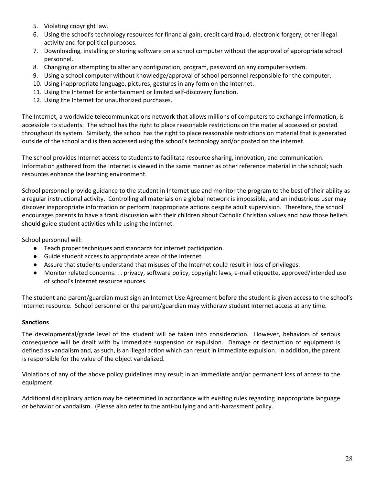- 5. Violating copyright law.
- 6. Using the school's technology resources for financial gain, credit card fraud, electronic forgery, other illegal activity and for political purposes.
- 7. Downloading, installing or storing software on a school computer without the approval of appropriate school personnel.
- 8. Changing or attempting to alter any configuration, program, password on any computer system.
- 9. Using a school computer without knowledge/approval of school personnel responsible for the computer.
- 10. Using inappropriate language, pictures, gestures in any form on the Internet.
- 11. Using the Internet for entertainment or limited self-discovery function.
- 12. Using the Internet for unauthorized purchases.

The Internet, a worldwide telecommunications network that allows millions of computers to exchange information, is accessible to students. The school has the right to place reasonable restrictions on the material accessed or posted throughout its system. Similarly, the school has the right to place reasonable restrictions on material that is generated outside of the school and is then accessed using the school's technology and/or posted on the internet.

The school provides Internet access to students to facilitate resource sharing, innovation, and communication. Information gathered from the Internet is viewed in the same manner as other reference material in the school; such resources enhance the learning environment.

School personnel provide guidance to the student in Internet use and monitor the program to the best of their ability as a regular instructional activity. Controlling all materials on a global network is impossible, and an industrious user may discover inappropriate information or perform inappropriate actions despite adult supervision. Therefore, the school encourages parents to have a frank discussion with their children about Catholic Christian values and how those beliefs should guide student activities while using the Internet.

School personnel will:

- Teach proper techniques and standards for internet participation.
- Guide student access to appropriate areas of the Internet.
- Assure that students understand that misuses of the Internet could result in loss of privileges.
- Monitor related concerns. . . privacy, software policy, copyright laws, e-mail etiquette, approved/intended use of school's Internet resource sources.

The student and parent/guardian must sign an Internet Use Agreement before the student is given access to the school's Internet resource. School personnel or the parent/guardian may withdraw student Internet access at any time.

#### **Sanctions**

The developmental/grade level of the student will be taken into consideration. However, behaviors of serious consequence will be dealt with by immediate suspension or expulsion. Damage or destruction of equipment is defined as vandalism and, as such, is an illegal action which can result in immediate expulsion. In addition, the parent is responsible for the value of the object vandalized.

Violations of any of the above policy guidelines may result in an immediate and/or permanent loss of access to the equipment.

Additional disciplinary action may be determined in accordance with existing rules regarding inappropriate language or behavior or vandalism. (Please also refer to the anti-bullying and anti-harassment policy.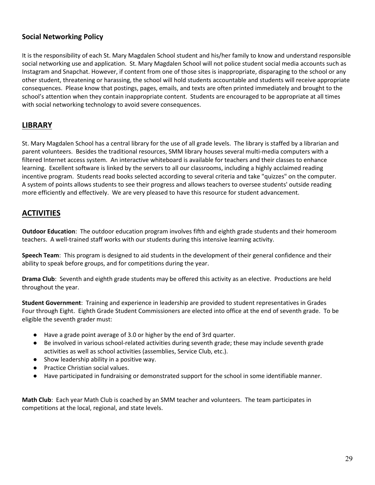## **Social Networking Policy**

It is the responsibility of each St. Mary Magdalen School student and his/her family to know and understand responsible social networking use and application. St. Mary Magdalen School will not police student social media accounts such as Instagram and Snapchat. However, if content from one of those sites is inappropriate, disparaging to the school or any other student, threatening or harassing, the school will hold students accountable and students will receive appropriate consequences. Please know that postings, pages, emails, and texts are often printed immediately and brought to the school's attention when they contain inappropriate content. Students are encouraged to be appropriate at all times with social networking technology to avoid severe consequences.

## **LIBRARY**

St. Mary Magdalen School has a central library for the use of all grade levels. The library is staffed by a librarian and parent volunteers. Besides the traditional resources, SMM library houses several multi-media computers with a filtered Internet access system. An interactive whiteboard is available for teachers and their classes to enhance learning. Excellent software is linked by the servers to all our classrooms, including a highly acclaimed reading incentive program. Students read books selected according to several criteria and take "quizzes" on the computer. A system of points allows students to see their progress and allows teachers to oversee students' outside reading more efficiently and effectively. We are very pleased to have this resource for student advancement.

# **ACTIVITIES**

**Outdoor Education**: The outdoor education program involves fifth and eighth grade students and their homeroom teachers. A well-trained staff works with our students during this intensive learning activity.

**Speech Team**: This program is designed to aid students in the development of their general confidence and their ability to speak before groups, and for competitions during the year.

**Drama Club**: Seventh and eighth grade students may be offered this activity as an elective. Productions are held throughout the year.

**Student Government**: Training and experience in leadership are provided to student representatives in Grades Four through Eight. Eighth Grade Student Commissioners are elected into office at the end of seventh grade. To be eligible the seventh grader must:

- Have a grade point average of 3.0 or higher by the end of 3rd quarter.
- Be involved in various school-related activities during seventh grade; these may include seventh grade activities as well as school activities (assemblies, Service Club, etc.).
- Show leadership ability in a positive way.
- Practice Christian social values.
- Have participated in fundraising or demonstrated support for the school in some identifiable manner.

**Math Club**: Each year Math Club is coached by an SMM teacher and volunteers. The team participates in competitions at the local, regional, and state levels.